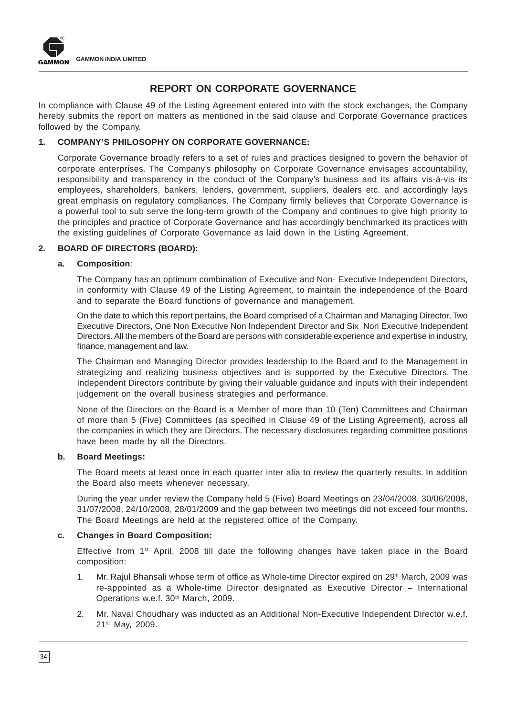

# **REPORT ON CORPORATE GOVERNANCE**

In compliance with Clause 49 of the Listing Agreement entered into with the stock exchanges, the Company hereby submits the report on matters as mentioned in the said clause and Corporate Governance practices followed by the Company.

# **1. COMPANY'S PHILOSOPHY ON CORPORATE GOVERNANCE:**

Corporate Governance broadly refers to a set of rules and practices designed to govern the behavior of corporate enterprises. The Company's philosophy on Corporate Governance envisages accountability, responsibility and transparency in the conduct of the Company's business and its affairs vis-à-vis its employees, shareholders, bankers, lenders, government, suppliers, dealers etc. and accordingly lays great emphasis on regulatory compliances. The Company firmly believes that Corporate Governance is a powerful tool to sub serve the long-term growth of the Company and continues to give high priority to the principles and practice of Corporate Governance and has accordingly benchmarked its practices with the existing guidelines of Corporate Governance as laid down in the Listing Agreement.

# **2. BOARD OF DIRECTORS (BOARD):**

#### **a. Composition**:

The Company has an optimum combination of Executive and Non- Executive Independent Directors, in conformity with Clause 49 of the Listing Agreement, to maintain the independence of the Board and to separate the Board functions of governance and management.

On the date to which this report pertains, the Board comprised of a Chairman and Managing Director, Two Executive Directors, One Non Executive Non Independent Director and Six Non Executive Independent Directors. All the members of the Board are persons with considerable experience and expertise in industry, finance, management and law.

The Chairman and Managing Director provides leadership to the Board and to the Management in strategizing and realizing business objectives and is supported by the Executive Directors. The Independent Directors contribute by giving their valuable guidance and inputs with their independent judgement on the overall business strategies and performance.

None of the Directors on the Board is a Member of more than 10 (Ten) Committees and Chairman of more than 5 (Five) Committees (as specified in Clause 49 of the Listing Agreement), across all the companies in which they are Directors. The necessary disclosures regarding committee positions have been made by all the Directors.

# **b. Board Meetings:**

The Board meets at least once in each quarter inter alia to review the quarterly results. In addition the Board also meets whenever necessary.

During the year under review the Company held 5 (Five) Board Meetings on 23/04/2008, 30/06/2008, 31/07/2008, 24/10/2008, 28/01/2009 and the gap between two meetings did not exceed four months. The Board Meetings are held at the registered office of the Company.

# **c. Changes in Board Composition:**

Effective from 1<sup>st</sup> April, 2008 till date the following changes have taken place in the Board composition:

- 1. Mr. Rajul Bhansali whose term of office as Whole-time Director expired on 29<sup>th</sup> March, 2009 was re-appointed as a Whole-time Director designated as Executive Director – International Operations w.e.f. 30<sup>th</sup> March, 2009.
- 2. Mr. Naval Choudhary was inducted as an Additional Non-Executive Independent Director w.e.f. 21st May, 2009.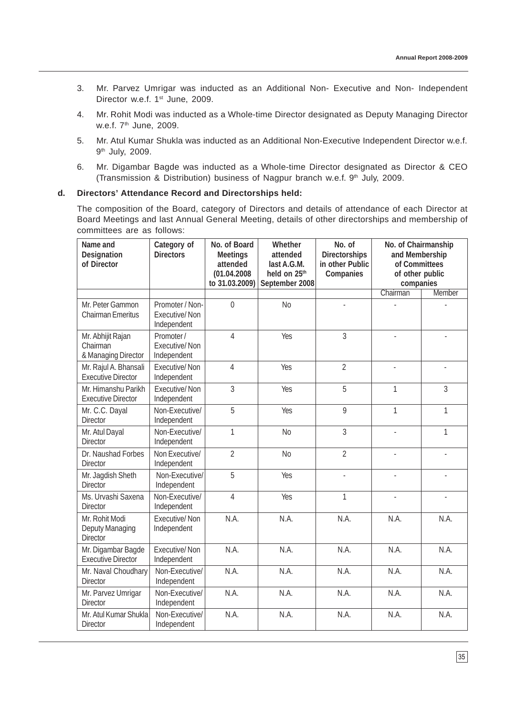- 3. Mr. Parvez Umrigar was inducted as an Additional Non- Executive and Non- Independent Director w.e.f. 1<sup>st</sup> June, 2009.
- 4. Mr. Rohit Modi was inducted as a Whole-time Director designated as Deputy Managing Director w.e.f. 7<sup>th</sup> June, 2009.
- 5. Mr. Atul Kumar Shukla was inducted as an Additional Non-Executive Independent Director w.e.f. 9th July, 2009.
- 6. Mr. Digambar Bagde was inducted as a Whole-time Director designated as Director & CEO (Transmission & Distribution) business of Nagpur branch w.e.f. 9<sup>th</sup> July, 2009.

## **d. Directors' Attendance Record and Directorships held:**

The composition of the Board, category of Directors and details of attendance of each Director at Board Meetings and last Annual General Meeting, details of other directorships and membership of committees are as follows:

| Name and<br><b>Designation</b><br>of Director        | Category of<br><b>Directors</b>                        | No. of Board<br><b>Meetings</b><br>attended<br>(01.04.2008<br>to 31.03.2009) | <b>Whether</b><br>attended<br>last A.G.M.<br>held on 25th<br>September 2008 | No. of<br><b>Directorships</b><br>in other Public<br>Companies | No. of Chairmanship<br>and Membership<br>of Committees<br>of other public<br>companies |        |
|------------------------------------------------------|--------------------------------------------------------|------------------------------------------------------------------------------|-----------------------------------------------------------------------------|----------------------------------------------------------------|----------------------------------------------------------------------------------------|--------|
|                                                      |                                                        |                                                                              |                                                                             |                                                                | Chairman                                                                               | Member |
| Mr. Peter Gammon<br><b>Chairman Emeritus</b>         | Promoter / Non-<br><b>Executive/Non</b><br>Independent | $\overline{0}$                                                               | N <sub>0</sub>                                                              |                                                                |                                                                                        |        |
| Mr. Abhijit Rajan<br>Chairman<br>& Managing Director | Promoter /<br><b>Executive/Non</b><br>Independent      | 4                                                                            | Yes                                                                         | 3                                                              |                                                                                        |        |
| Mr. Rajul A. Bhansali<br><b>Executive Director</b>   | Executive/Non<br>Independent                           | 4                                                                            | <b>Yes</b>                                                                  | $\overline{2}$                                                 | ÷,                                                                                     |        |
| Mr. Himanshu Parikh<br><b>Executive Director</b>     | <b>Executive/Non</b><br>Independent                    | 3                                                                            | Yes                                                                         | 5                                                              | 1                                                                                      | 3      |
| Mr. C.C. Dayal<br><b>Director</b>                    | Non-Executive/<br>Independent                          | 5                                                                            | Yes                                                                         | 9                                                              | 1                                                                                      | 1      |
| Mr. Atul Dayal<br><b>Director</b>                    | Non-Executive/<br>Independent                          | 1                                                                            | <b>No</b>                                                                   | 3                                                              |                                                                                        | 1      |
| Dr. Naushad Forbes<br><b>Director</b>                | Non Executive/<br>Independent                          | $\overline{2}$                                                               | <b>No</b>                                                                   | $\overline{2}$                                                 |                                                                                        |        |
| Mr. Jagdish Sheth<br><b>Director</b>                 | Non-Executive/<br>Independent                          | 5                                                                            | Yes                                                                         | L.                                                             |                                                                                        |        |
| Ms. Urvashi Saxena<br><b>Director</b>                | Non-Executive/<br>Independent                          | 4                                                                            | Yes                                                                         | 1                                                              |                                                                                        |        |
| Mr. Rohit Modi<br>Deputy Managing<br><b>Director</b> | <b>Executive/Non</b><br>Independent                    | N.A.                                                                         | N.A.                                                                        | N.A.                                                           | N.A.                                                                                   | N.A.   |
| Mr. Digambar Bagde<br><b>Executive Director</b>      | <b>Executive/Non</b><br>Independent                    | N.A.                                                                         | N.A.                                                                        | N.A.                                                           | N.A.                                                                                   | N.A.   |
| Mr. Naval Choudhary<br>Director                      | Non-Executive/<br>Independent                          | N.A.                                                                         | N.A.                                                                        | N.A.                                                           | N.A.                                                                                   | N.A.   |
| Mr. Parvez Umrigar<br><b>Director</b>                | Non-Executive/<br>Independent                          | N.A.                                                                         | N.A.                                                                        | N.A.                                                           | N.A.                                                                                   | N.A.   |
| Mr. Atul Kumar Shukla<br><b>Director</b>             | Non-Executive/<br>Independent                          | N.A.                                                                         | N.A.                                                                        | N.A.                                                           | N.A.                                                                                   | N.A.   |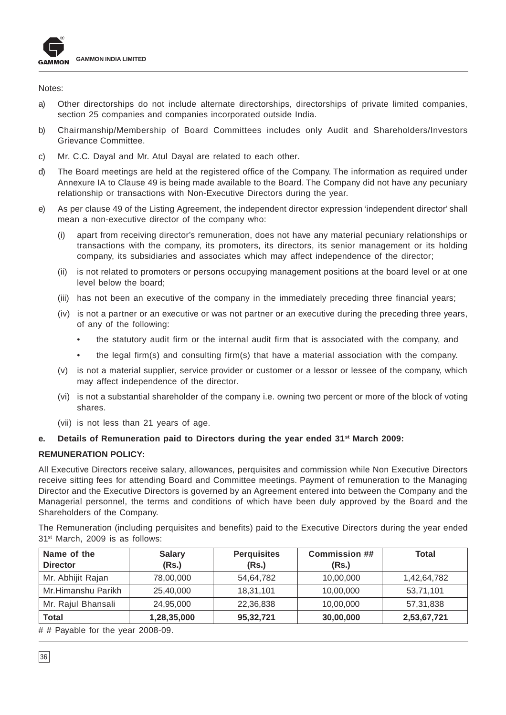

Notes:

- a) Other directorships do not include alternate directorships, directorships of private limited companies, section 25 companies and companies incorporated outside India.
- b) Chairmanship/Membership of Board Committees includes only Audit and Shareholders/Investors Grievance Committee.
- c) Mr. C.C. Dayal and Mr. Atul Dayal are related to each other.
- d) The Board meetings are held at the registered office of the Company. The information as required under Annexure IA to Clause 49 is being made available to the Board. The Company did not have any pecuniary relationship or transactions with Non-Executive Directors during the year.
- e) As per clause 49 of the Listing Agreement, the independent director expression 'independent director' shall mean a non-executive director of the company who:
	- apart from receiving director's remuneration, does not have any material pecuniary relationships or transactions with the company, its promoters, its directors, its senior management or its holding company, its subsidiaries and associates which may affect independence of the director;
	- (ii) is not related to promoters or persons occupying management positions at the board level or at one level below the board;
	- (iii) has not been an executive of the company in the immediately preceding three financial years;
	- (iv) is not a partner or an executive or was not partner or an executive during the preceding three years, of any of the following:
		- the statutory audit firm or the internal audit firm that is associated with the company, and
		- the legal firm(s) and consulting firm(s) that have a material association with the company.
	- (v) is not a material supplier, service provider or customer or a lessor or lessee of the company, which may affect independence of the director.
	- (vi) is not a substantial shareholder of the company i.e. owning two percent or more of the block of voting shares.
	- (vii) is not less than 21 years of age.

# **e. Details of Remuneration paid to Directors during the year ended 31st March 2009:**

# **REMUNERATION POLICY:**

All Executive Directors receive salary, allowances, perquisites and commission while Non Executive Directors receive sitting fees for attending Board and Committee meetings. Payment of remuneration to the Managing Director and the Executive Directors is governed by an Agreement entered into between the Company and the Managerial personnel, the terms and conditions of which have been duly approved by the Board and the Shareholders of the Company.

The Remuneration (including perquisites and benefits) paid to the Executive Directors during the year ended 31<sup>st</sup> March, 2009 is as follows:

| Name of the<br><b>Director</b> | <b>Salary</b><br>(Rs.) | <b>Perquisites</b><br>(Rs.) | <b>Commission ##</b><br>(Rs.) | Total       |
|--------------------------------|------------------------|-----------------------------|-------------------------------|-------------|
| Mr. Abhijit Rajan              | 78,00,000              | 54,64,782                   | 10,00,000                     | 1,42,64,782 |
| Mr.Himanshu Parikh             | 25,40,000              | 18,31,101                   | 10,00,000                     | 53,71,101   |
| Mr. Rajul Bhansali             | 24,95,000              | 22,36,838                   | 10,00,000                     | 57,31,838   |
| <b>Total</b>                   | 1,28,35,000            | 95,32,721                   | 30,00,000                     | 2,53,67,721 |

# # Payable for the year 2008-09.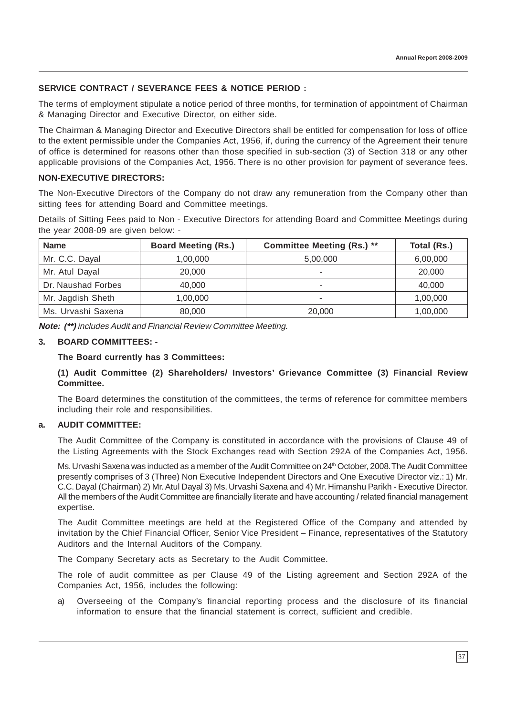# **SERVICE CONTRACT / SEVERANCE FEES & NOTICE PERIOD :**

The terms of employment stipulate a notice period of three months, for termination of appointment of Chairman & Managing Director and Executive Director, on either side.

The Chairman & Managing Director and Executive Directors shall be entitled for compensation for loss of office to the extent permissible under the Companies Act, 1956, if, during the currency of the Agreement their tenure of office is determined for reasons other than those specified in sub-section (3) of Section 318 or any other applicable provisions of the Companies Act, 1956. There is no other provision for payment of severance fees.

# **NON-EXECUTIVE DIRECTORS:**

The Non-Executive Directors of the Company do not draw any remuneration from the Company other than sitting fees for attending Board and Committee meetings.

Details of Sitting Fees paid to Non - Executive Directors for attending Board and Committee Meetings during the year 2008-09 are given below: -

| <b>Name</b>        | <b>Board Meeting (Rs.)</b> | <b>Committee Meeting (Rs.) **</b> | Total (Rs.) |
|--------------------|----------------------------|-----------------------------------|-------------|
| Mr. C.C. Dayal     | 1,00,000                   | 5,00,000                          | 6,00,000    |
| Mr. Atul Dayal     | 20,000                     |                                   | 20,000      |
| Dr. Naushad Forbes | 40,000                     |                                   | 40,000      |
| Mr. Jagdish Sheth  | 1,00,000                   | ۰                                 | 1,00,000    |
| Ms. Urvashi Saxena | 80,000                     | 20,000                            | 1,00,000    |

**Note: (\*\*)** includes Audit and Financial Review Committee Meeting.

# **3. BOARD COMMITTEES: -**

#### **The Board currently has 3 Committees:**

# **(1) Audit Committee (2) Shareholders/ Investors' Grievance Committee (3) Financial Review Committee.**

The Board determines the constitution of the committees, the terms of reference for committee members including their role and responsibilities.

# **a. AUDIT COMMITTEE:**

The Audit Committee of the Company is constituted in accordance with the provisions of Clause 49 of the Listing Agreements with the Stock Exchanges read with Section 292A of the Companies Act, 1956.

Ms. Urvashi Saxena was inducted as a member of the Audit Committee on 24th October, 2008. The Audit Committee presently comprises of 3 (Three) Non Executive Independent Directors and One Executive Director viz.: 1) Mr. C.C. Dayal (Chairman) 2) Mr. Atul Dayal 3) Ms. Urvashi Saxena and 4) Mr. Himanshu Parikh - Executive Director. All the members of the Audit Committee are financially literate and have accounting / related financial management expertise.

The Audit Committee meetings are held at the Registered Office of the Company and attended by invitation by the Chief Financial Officer, Senior Vice President – Finance, representatives of the Statutory Auditors and the Internal Auditors of the Company.

The Company Secretary acts as Secretary to the Audit Committee.

The role of audit committee as per Clause 49 of the Listing agreement and Section 292A of the Companies Act, 1956, includes the following:

a) Overseeing of the Company's financial reporting process and the disclosure of its financial information to ensure that the financial statement is correct, sufficient and credible.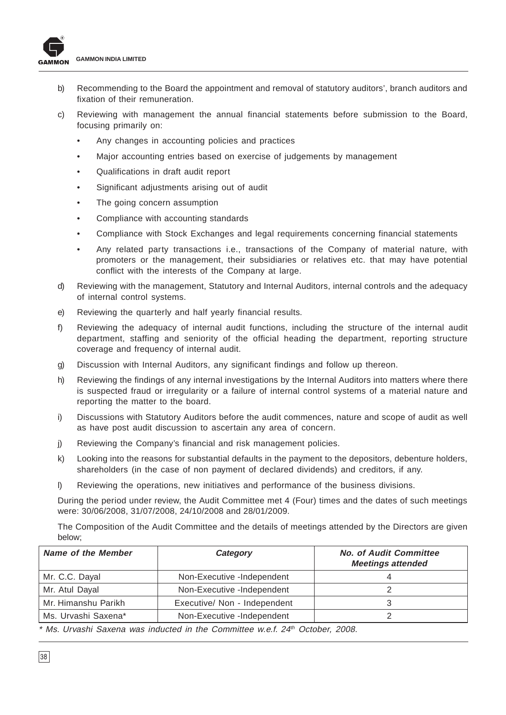

- b) Recommending to the Board the appointment and removal of statutory auditors', branch auditors and fixation of their remuneration.
- c) Reviewing with management the annual financial statements before submission to the Board, focusing primarily on:
	- Any changes in accounting policies and practices
	- Major accounting entries based on exercise of judgements by management
	- Qualifications in draft audit report
	- Significant adjustments arising out of audit
	- The going concern assumption
	- Compliance with accounting standards
	- Compliance with Stock Exchanges and legal requirements concerning financial statements
	- Any related party transactions i.e., transactions of the Company of material nature, with promoters or the management, their subsidiaries or relatives etc. that may have potential conflict with the interests of the Company at large.
- d) Reviewing with the management, Statutory and Internal Auditors, internal controls and the adequacy of internal control systems.
- e) Reviewing the quarterly and half yearly financial results.
- f) Reviewing the adequacy of internal audit functions, including the structure of the internal audit department, staffing and seniority of the official heading the department, reporting structure coverage and frequency of internal audit.
- g) Discussion with Internal Auditors, any significant findings and follow up thereon.
- h) Reviewing the findings of any internal investigations by the Internal Auditors into matters where there is suspected fraud or irregularity or a failure of internal control systems of a material nature and reporting the matter to the board.
- i) Discussions with Statutory Auditors before the audit commences, nature and scope of audit as well as have post audit discussion to ascertain any area of concern.
- j) Reviewing the Company's financial and risk management policies.
- k) Looking into the reasons for substantial defaults in the payment to the depositors, debenture holders, shareholders (in the case of non payment of declared dividends) and creditors, if any.
- l) Reviewing the operations, new initiatives and performance of the business divisions.

During the period under review, the Audit Committee met 4 (Four) times and the dates of such meetings were: 30/06/2008, 31/07/2008, 24/10/2008 and 28/01/2009.

The Composition of the Audit Committee and the details of meetings attended by the Directors are given below;

| <b>Name of the Member</b> | Category                     | <b>No. of Audit Committee</b><br><b>Meetings attended</b> |  |
|---------------------------|------------------------------|-----------------------------------------------------------|--|
| Mr. C.C. Dayal            | Non-Executive -Independent   |                                                           |  |
| Mr. Atul Dayal            | Non-Executive -Independent   |                                                           |  |
| Mr. Himanshu Parikh       | Executive/ Non - Independent |                                                           |  |
| Ms. Urvashi Saxena*       | Non-Executive -Independent   |                                                           |  |

\* Ms. Urvashi Saxena was inducted in the Committee w.e.f. 24<sup>th</sup> October, 2008.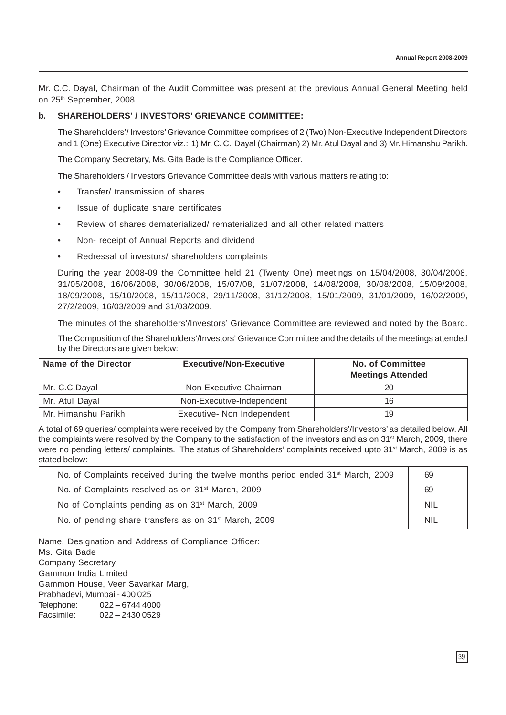Mr. C.C. Dayal, Chairman of the Audit Committee was present at the previous Annual General Meeting held on 25<sup>th</sup> September, 2008.

# **b. SHAREHOLDERS' / INVESTORS' GRIEVANCE COMMITTEE:**

The Shareholders'/ Investors' Grievance Committee comprises of 2 (Two) Non-Executive Independent Directors and 1 (One) Executive Director viz.: 1) Mr. C. C. Dayal (Chairman) 2) Mr. Atul Dayal and 3) Mr. Himanshu Parikh.

The Company Secretary, Ms. Gita Bade is the Compliance Officer.

The Shareholders / Investors Grievance Committee deals with various matters relating to:

- Transfer/ transmission of shares
- Issue of duplicate share certificates
- Review of shares dematerialized/ rematerialized and all other related matters
- Non- receipt of Annual Reports and dividend
- Redressal of investors/ shareholders complaints

During the year 2008-09 the Committee held 21 (Twenty One) meetings on 15/04/2008, 30/04/2008, 31/05/2008, 16/06/2008, 30/06/2008, 15/07/08, 31/07/2008, 14/08/2008, 30/08/2008, 15/09/2008, 18/09/2008, 15/10/2008, 15/11/2008, 29/11/2008, 31/12/2008, 15/01/2009, 31/01/2009, 16/02/2009, 27/2/2009, 16/03/2009 and 31/03/2009.

The minutes of the shareholders'/Investors' Grievance Committee are reviewed and noted by the Board.

The Composition of the Shareholders'/Investors' Grievance Committee and the details of the meetings attended by the Directors are given below:

| Name of the Director | <b>Executive/Non-Executive</b> | <b>No. of Committee</b><br><b>Meetings Attended</b> |  |
|----------------------|--------------------------------|-----------------------------------------------------|--|
| Mr. C.C.Dayal        | Non-Executive-Chairman         | 20                                                  |  |
| Mr. Atul Dayal       | Non-Executive-Independent      | 16                                                  |  |
| Mr. Himanshu Parikh  | Executive- Non Independent     | 19                                                  |  |

A total of 69 queries/ complaints were received by the Company from Shareholders'/Investors' as detailed below. All the complaints were resolved by the Company to the satisfaction of the investors and as on 31<sup>st</sup> March, 2009, there were no pending letters/ complaints. The status of Shareholders' complaints received upto 31<sup>st</sup> March, 2009 is as stated below:

| No. of Complaints received during the twelve months period ended 31 <sup>st</sup> March, 2009 | 69         |
|-----------------------------------------------------------------------------------------------|------------|
| No. of Complaints resolved as on 31 <sup>st</sup> March, 2009                                 | 69         |
| No of Complaints pending as on 31 <sup>st</sup> March, 2009                                   | <b>NIL</b> |
| No. of pending share transfers as on 31 <sup>st</sup> March, 2009                             | <b>NIL</b> |

Name, Designation and Address of Compliance Officer: Ms. Gita Bade Company Secretary Gammon India Limited Gammon House, Veer Savarkar Marg, Prabhadevi, Mumbai - 400 025 Telephone: 022 – 6744 4000 Facsimile: 022 – 2430 0529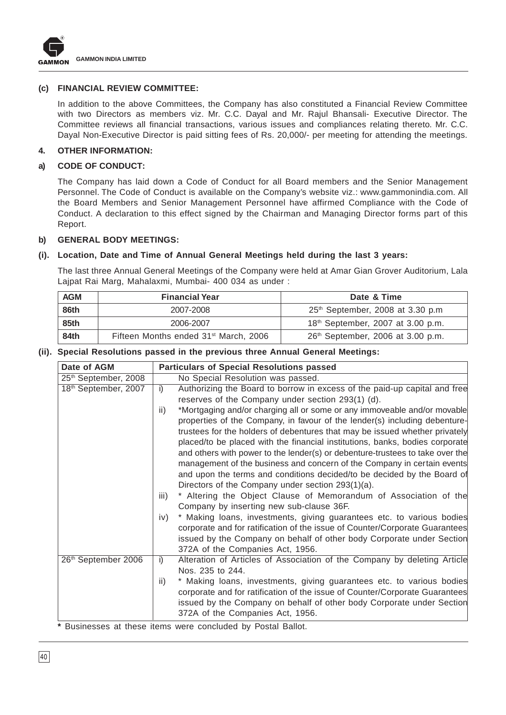

# **(c) FINANCIAL REVIEW COMMITTEE:**

In addition to the above Committees, the Company has also constituted a Financial Review Committee with two Directors as members viz. Mr. C.C. Dayal and Mr. Rajul Bhansali- Executive Director. The Committee reviews all financial transactions, various issues and compliances relating thereto. Mr. C.C. Dayal Non-Executive Director is paid sitting fees of Rs. 20,000/- per meeting for attending the meetings.

#### **4. OTHER INFORMATION:**

#### **a) CODE OF CONDUCT:**

The Company has laid down a Code of Conduct for all Board members and the Senior Management Personnel. The Code of Conduct is available on the Company's website viz.: www.gammonindia.com. All the Board Members and Senior Management Personnel have affirmed Compliance with the Code of Conduct. A declaration to this effect signed by the Chairman and Managing Director forms part of this Report.

#### **b) GENERAL BODY MEETINGS:**

### **(i). Location, Date and Time of Annual General Meetings held during the last 3 years:**

The last three Annual General Meetings of the Company were held at Amar Gian Grover Auditorium, Lala Lajpat Rai Marg, Mahalaxmi, Mumbai- 400 034 as under :

| <b>AGM</b> | <b>Financial Year</b>                             | Date & Time                                   |
|------------|---------------------------------------------------|-----------------------------------------------|
| 86th       | 2007-2008                                         | 25 <sup>th</sup> September, 2008 at 3.30 p.m  |
| 85th       | 2006-2007                                         | 18 <sup>th</sup> September, 2007 at 3.00 p.m. |
| 84th       | Fifteen Months ended 31 <sup>st</sup> March, 2006 | 26 <sup>th</sup> September, 2006 at 3.00 p.m. |

#### **(ii). Special Resolutions passed in the previous three Annual General Meetings:**

| Date of AGM          | <b>Particulars of Special Resolutions passed</b>                                |
|----------------------|---------------------------------------------------------------------------------|
| 25th September, 2008 | No Special Resolution was passed.                                               |
| 18th September, 2007 | Authorizing the Board to borrow in excess of the paid-up capital and free<br>i) |
|                      | reserves of the Company under section 293(1) (d).                               |
|                      | *Mortgaging and/or charging all or some or any immoveable and/or movable<br>ii) |
|                      | properties of the Company, in favour of the lender(s) including debenture-      |
|                      | trustees for the holders of debentures that may be issued whether privately     |
|                      | placed/to be placed with the financial institutions, banks, bodies corporate    |
|                      | and others with power to the lender(s) or debenture-trustees to take over the   |
|                      | management of the business and concern of the Company in certain events         |
|                      | and upon the terms and conditions decided/to be decided by the Board of         |
|                      | Directors of the Company under section 293(1)(a).                               |
|                      | * Altering the Object Clause of Memorandum of Association of the<br>iii)        |
|                      | Company by inserting new sub-clause 36F.                                        |
|                      | * Making loans, investments, giving guarantees etc. to various bodies<br>iv)    |
|                      | corporate and for ratification of the issue of Counter/Corporate Guarantees     |
|                      | issued by the Company on behalf of other body Corporate under Section           |
|                      | 372A of the Companies Act, 1956.                                                |
| 26th September 2006  | Alteration of Articles of Association of the Company by deleting Article<br>i)  |
|                      | Nos. 235 to 244.                                                                |
|                      | * Making loans, investments, giving guarantees etc. to various bodies<br>ii)    |
|                      | corporate and for ratification of the issue of Counter/Corporate Guarantees     |
|                      | issued by the Company on behalf of other body Corporate under Section           |
|                      | 372A of the Companies Act, 1956.                                                |
|                      |                                                                                 |

**\*** Businesses at these items were concluded by Postal Ballot.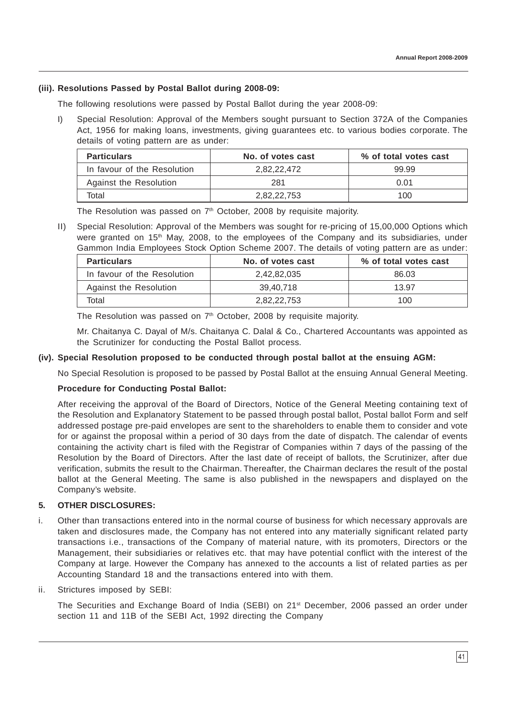# **(iii). Resolutions Passed by Postal Ballot during 2008-09:**

The following resolutions were passed by Postal Ballot during the year 2008-09:

I) Special Resolution: Approval of the Members sought pursuant to Section 372A of the Companies Act, 1956 for making loans, investments, giving guarantees etc. to various bodies corporate. The details of voting pattern are as under:

| <b>Particulars</b>          | No. of votes cast | % of total votes cast |  |
|-----------------------------|-------------------|-----------------------|--|
| In favour of the Resolution | 2.82.22.472       | 99.99                 |  |
| Against the Resolution      | 281               | 0.01                  |  |
| Total                       | 2.82.22.753       | 100                   |  |

The Resolution was passed on 7<sup>th</sup> October, 2008 by requisite majority.

II) Special Resolution: Approval of the Members was sought for re-pricing of 15,00,000 Options which were granted on 15<sup>th</sup> May, 2008, to the employees of the Company and its subsidiaries, under Gammon India Employees Stock Option Scheme 2007. The details of voting pattern are as under:

| <b>Particulars</b>          | No. of votes cast | % of total votes cast |  |
|-----------------------------|-------------------|-----------------------|--|
| In favour of the Resolution | 2.42.82.035       | 86.03                 |  |
| Against the Resolution      | 39.40.718         | 13.97                 |  |
| Total                       | 2,82,22,753       | 100                   |  |

The Resolution was passed on 7<sup>th</sup> October, 2008 by requisite majority.

Mr. Chaitanya C. Dayal of M/s. Chaitanya C. Dalal & Co., Chartered Accountants was appointed as the Scrutinizer for conducting the Postal Ballot process.

# **(iv). Special Resolution proposed to be conducted through postal ballot at the ensuing AGM:**

No Special Resolution is proposed to be passed by Postal Ballot at the ensuing Annual General Meeting.

#### **Procedure for Conducting Postal Ballot:**

After receiving the approval of the Board of Directors, Notice of the General Meeting containing text of the Resolution and Explanatory Statement to be passed through postal ballot, Postal ballot Form and self addressed postage pre-paid envelopes are sent to the shareholders to enable them to consider and vote for or against the proposal within a period of 30 days from the date of dispatch. The calendar of events containing the activity chart is filed with the Registrar of Companies within 7 days of the passing of the Resolution by the Board of Directors. After the last date of receipt of ballots, the Scrutinizer, after due verification, submits the result to the Chairman. Thereafter, the Chairman declares the result of the postal ballot at the General Meeting. The same is also published in the newspapers and displayed on the Company's website.

#### **5. OTHER DISCLOSURES:**

- i. Other than transactions entered into in the normal course of business for which necessary approvals are taken and disclosures made, the Company has not entered into any materially significant related party transactions i.e., transactions of the Company of material nature, with its promoters, Directors or the Management, their subsidiaries or relatives etc. that may have potential conflict with the interest of the Company at large. However the Company has annexed to the accounts a list of related parties as per Accounting Standard 18 and the transactions entered into with them.
- ii. Strictures imposed by SEBI:

The Securities and Exchange Board of India (SEBI) on 21st December, 2006 passed an order under section 11 and 11B of the SEBI Act, 1992 directing the Company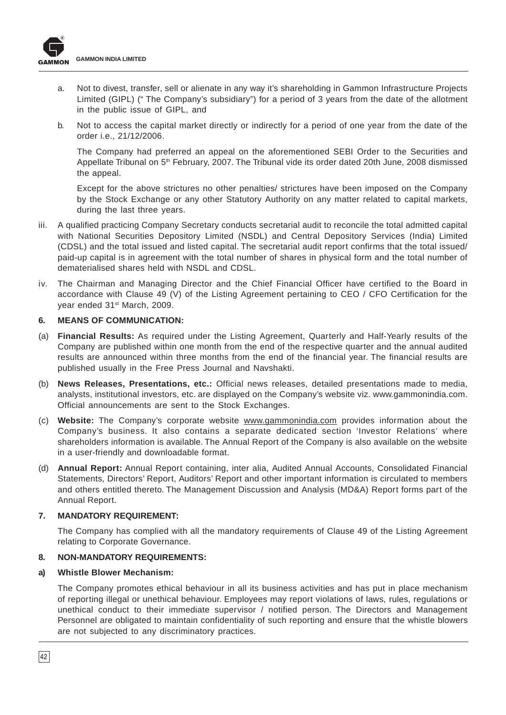

- a. Not to divest, transfer, sell or alienate in any way it's shareholding in Gammon Infrastructure Projects Limited (GIPL) (" The Company's subsidiary") for a period of 3 years from the date of the allotment in the public issue of GIPL, and
- b. Not to access the capital market directly or indirectly for a period of one year from the date of the order i.e., 21/12/2006.

The Company had preferred an appeal on the aforementioned SEBI Order to the Securities and Appellate Tribunal on 5<sup>th</sup> February, 2007. The Tribunal vide its order dated 20th June, 2008 dismissed the appeal.

Except for the above strictures no other penalties/ strictures have been imposed on the Company by the Stock Exchange or any other Statutory Authority on any matter related to capital markets, during the last three years.

- iii. A qualified practicing Company Secretary conducts secretarial audit to reconcile the total admitted capital with National Securities Depository Limited (NSDL) and Central Depository Services (India) Limited (CDSL) and the total issued and listed capital. The secretarial audit report confirms that the total issued/ paid-up capital is in agreement with the total number of shares in physical form and the total number of dematerialised shares held with NSDL and CDSL.
- iv. The Chairman and Managing Director and the Chief Financial Officer have certified to the Board in accordance with Clause 49 (V) of the Listing Agreement pertaining to CEO / CFO Certification for the year ended 31<sup>st</sup> March, 2009.

#### **6. MEANS OF COMMUNICATION:**

- (a) **Financial Results:** As required under the Listing Agreement, Quarterly and Half-Yearly results of the Company are published within one month from the end of the respective quarter and the annual audited results are announced within three months from the end of the financial year. The financial results are published usually in the Free Press Journal and Navshakti.
- (b) **News Releases, Presentations, etc.:** Official news releases, detailed presentations made to media, analysts, institutional investors, etc. are displayed on the Company's website viz. www.gammonindia.com. Official announcements are sent to the Stock Exchanges.
- (c) **Website:** The Company's corporate website www.gammonindia.com provides information about the Company's business. It also contains a separate dedicated section 'Investor Relations' where shareholders information is available. The Annual Report of the Company is also available on the website in a user-friendly and downloadable format.
- (d) **Annual Report:** Annual Report containing, inter alia, Audited Annual Accounts, Consolidated Financial Statements, Directors' Report, Auditors' Report and other important information is circulated to members and others entitled thereto. The Management Discussion and Analysis (MD&A) Report forms part of the Annual Report.

#### **7. MANDATORY REQUIREMENT:**

The Company has complied with all the mandatory requirements of Clause 49 of the Listing Agreement relating to Corporate Governance.

#### **8. NON-MANDATORY REQUIREMENTS:**

#### **a) Whistle Blower Mechanism:**

The Company promotes ethical behaviour in all its business activities and has put in place mechanism of reporting illegal or unethical behaviour. Employees may report violations of laws, rules, regulations or unethical conduct to their immediate supervisor / notified person. The Directors and Management Personnel are obligated to maintain confidentiality of such reporting and ensure that the whistle blowers are not subjected to any discriminatory practices.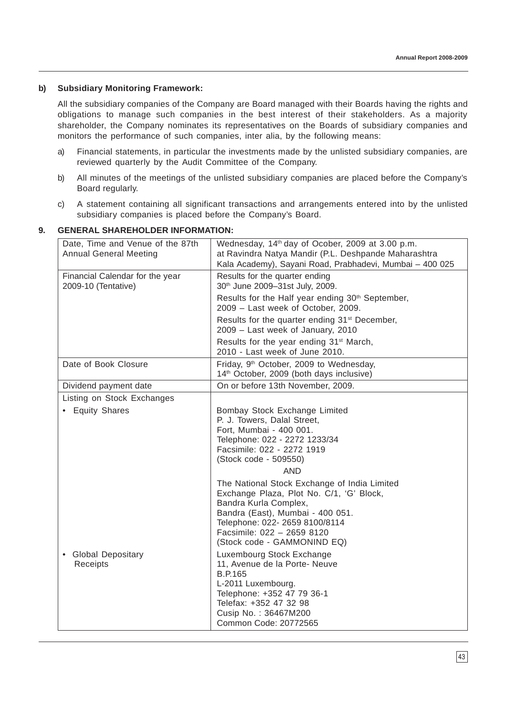# **b) Subsidiary Monitoring Framework:**

All the subsidiary companies of the Company are Board managed with their Boards having the rights and obligations to manage such companies in the best interest of their stakeholders. As a majority shareholder, the Company nominates its representatives on the Boards of subsidiary companies and monitors the performance of such companies, inter alia, by the following means:

- a) Financial statements, in particular the investments made by the unlisted subsidiary companies, are reviewed quarterly by the Audit Committee of the Company.
- b) All minutes of the meetings of the unlisted subsidiary companies are placed before the Company's Board regularly.
- c) A statement containing all significant transactions and arrangements entered into by the unlisted subsidiary companies is placed before the Company's Board.

# Date, Time and Venue of the 87th Wednesday,  $14<sup>th</sup>$  day of Ocober, 2009 at 3.00 p.m. Annual General Meeting at Ravindra Natya Mandir (P.L. Deshpande Maharashtra Kala Academy), Sayani Road, Prabhadevi, Mumbai – 400 025 Financial Calendar for the year  $\vert$  Results for the quarter ending 2009-10 (Tentative) 30th June 2009–31st July, 2009. Results for the Half year ending 30<sup>th</sup> September, 2009 – Last week of October, 2009. Results for the quarter ending 31<sup>st</sup> December, 2009 – Last week of January, 2010 Results for the year ending 31<sup>st</sup> March, 2010 - Last week of June 2010. Date of Book Closure **Friday, 9<sup>th</sup>** October, 2009 to Wednesday, 14<sup>th</sup> October, 2009 (both days inclusive) Dividend payment date **On** or before 13th November, 2009. Listing on Stock Exchanges • Equity Shares **Bombay Stock Exchange Limited** P. J. Towers, Dalal Street, Fort, Mumbai - 400 001. Telephone: 022 - 2272 1233/34 Facsimile: 022 - 2272 1919 (Stock code - 509550) AND The National Stock Exchange of India Limited Exchange Plaza, Plot No. C/1, 'G' Block, Bandra Kurla Complex, Bandra (East), Mumbai - 400 051. Telephone: 022- 2659 8100/8114 Facsimile: 022 – 2659 8120 (Stock code - GAMMONIND EQ) • Global Depositary **Luxembourg Stock Exchange** Receipts 11, Avenue de la Porte- Neuve B.P.165 L-2011 Luxembourg. Telephone: +352 47 79 36-1 Telefax: +352 47 32 98 Cusip No. : 36467M200 Common Code: 20772565

# **9. GENERAL SHAREHOLDER INFORMATION:**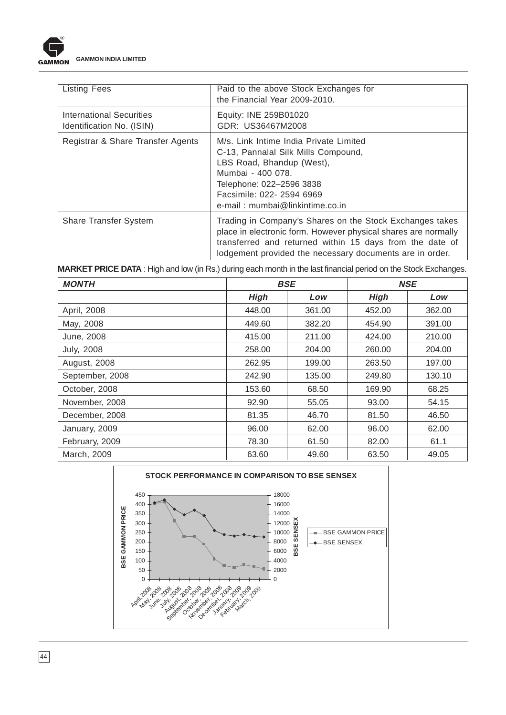

| <b>Listing Fees</b>                                   | Paid to the above Stock Exchanges for<br>the Financial Year 2009-2010.                                                                                                                                                                             |
|-------------------------------------------------------|----------------------------------------------------------------------------------------------------------------------------------------------------------------------------------------------------------------------------------------------------|
| International Securities<br>Identification No. (ISIN) | Equity: INE 259B01020<br>GDR: US36467M2008                                                                                                                                                                                                         |
| Registrar & Share Transfer Agents                     | M/s. Link Intime India Private Limited<br>C-13, Pannalal Silk Mills Compound,<br>LBS Road, Bhandup (West),<br>Mumbai - 400 078.<br>Telephone: 022-2596 3838<br>Facsimile: 022- 2594 6969<br>e-mail: mumbai@linkintime.co.in                        |
| <b>Share Transfer System</b>                          | Trading in Company's Shares on the Stock Exchanges takes<br>place in electronic form. However physical shares are normally<br>transferred and returned within 15 days from the date of<br>lodgement provided the necessary documents are in order. |

**MARKET PRICE DATA** : High and low (in Rs.) during each month in the last financial period on the Stock Exchanges.

| <b>MONTH</b>      | <b>BSE</b>  |        |             | <b>NSE</b> |
|-------------------|-------------|--------|-------------|------------|
|                   | <b>High</b> | Low    | <b>High</b> | Low        |
| April, 2008       | 448.00      | 361.00 | 452.00      | 362.00     |
| May, 2008         | 449.60      | 382.20 | 454.90      | 391.00     |
| June, 2008        | 415.00      | 211.00 | 424.00      | 210.00     |
| <b>July, 2008</b> | 258.00      | 204.00 | 260.00      | 204.00     |
| August, 2008      | 262.95      | 199.00 | 263.50      | 197.00     |
| September, 2008   | 242.90      | 135.00 | 249.80      | 130.10     |
| October, 2008     | 153.60      | 68.50  | 169.90      | 68.25      |
| November, 2008    | 92.90       | 55.05  | 93.00       | 54.15      |
| December, 2008    | 81.35       | 46.70  | 81.50       | 46.50      |
| January, 2009     | 96.00       | 62.00  | 96.00       | 62.00      |
| February, 2009    | 78.30       | 61.50  | 82.00       | 61.1       |
| March, 2009       | 63.60       | 49.60  | 63.50       | 49.05      |

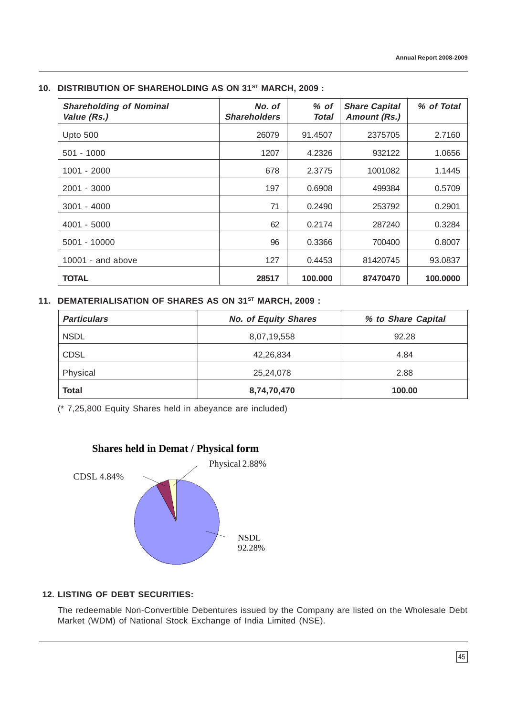| <b>Shareholding of Nominal</b><br>Value (Rs.) | No. of<br><b>Shareholders</b> | $%$ of<br>Total | <b>Share Capital</b><br><b>Amount (Rs.)</b> | % of Total |
|-----------------------------------------------|-------------------------------|-----------------|---------------------------------------------|------------|
| Upto 500                                      | 26079                         | 91.4507         | 2375705                                     | 2.7160     |
| $501 - 1000$                                  | 1207                          | 4.2326          | 932122                                      | 1.0656     |
| $1001 - 2000$                                 | 678                           | 2.3775          | 1001082                                     | 1.1445     |
| 2001 - 3000                                   | 197                           | 0.6908          | 499384                                      | 0.5709     |
| $3001 - 4000$                                 | 71                            | 0.2490          | 253792                                      | 0.2901     |
| $4001 - 5000$                                 | 62                            | 0.2174          | 287240                                      | 0.3284     |
| $5001 - 10000$                                | 96                            | 0.3366          | 700400                                      | 0.8007     |
| 10001 - and above                             | 127                           | 0.4453          | 81420745                                    | 93.0837    |
| <b>TOTAL</b>                                  | 28517                         | 100,000         | 87470470                                    | 100,0000   |

# **10. DISTRIBUTION OF SHAREHOLDING AS ON 31ST MARCH, 2009 :**

# **11. DEMATERIALISATION OF SHARES AS ON 31ST MARCH, 2009 :**

| <b>Particulars</b> | <b>No. of Equity Shares</b> | % to Share Capital |  |
|--------------------|-----------------------------|--------------------|--|
| <b>NSDL</b>        | 8,07,19,558                 | 92.28              |  |
| <b>CDSL</b>        | 42,26,834                   | 4.84               |  |
| Physical           | 25,24,078                   | 2.88               |  |
| <b>Total</b>       | 8,74,70,470                 | 100.00             |  |

(\* 7,25,800 Equity Shares held in abeyance are included)



# **12. LISTING OF DEBT SECURITIES:**

The redeemable Non-Convertible Debentures issued by the Company are listed on the Wholesale Debt Market (WDM) of National Stock Exchange of India Limited (NSE).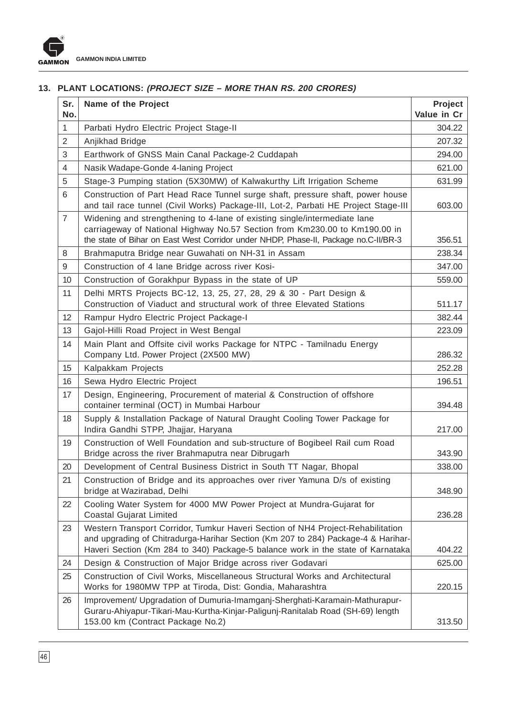# **13. PLANT LOCATIONS: (PROJECT SIZE – MORE THAN RS. 200 CRORES)**

| Sr.<br>No.     | Name of the Project                                                                                                                                                                                                                                     | <b>Project</b><br>Value in Cr |
|----------------|---------------------------------------------------------------------------------------------------------------------------------------------------------------------------------------------------------------------------------------------------------|-------------------------------|
| $\mathbf{1}$   | Parbati Hydro Electric Project Stage-II                                                                                                                                                                                                                 | 304.22                        |
| $\overline{2}$ | Anjikhad Bridge                                                                                                                                                                                                                                         | 207.32                        |
| 3              | Earthwork of GNSS Main Canal Package-2 Cuddapah                                                                                                                                                                                                         | 294.00                        |
| $\overline{4}$ | Nasik Wadape-Gonde 4-laning Project                                                                                                                                                                                                                     | 621.00                        |
| 5              | Stage-3 Pumping station (5X30MW) of Kalwakurthy Lift Irrigation Scheme                                                                                                                                                                                  | 631.99                        |
| 6              | Construction of Part Head Race Tunnel surge shaft, pressure shaft, power house<br>and tail race tunnel (Civil Works) Package-III, Lot-2, Parbati HE Project Stage-III                                                                                   | 603.00                        |
| $\overline{7}$ | Widening and strengthening to 4-lane of existing single/intermediate lane<br>carriageway of National Highway No.57 Section from Km230.00 to Km190.00 in<br>the state of Bihar on East West Corridor under NHDP, Phase-II, Package no.C-II/BR-3          | 356.51                        |
| 8              | Brahmaputra Bridge near Guwahati on NH-31 in Assam                                                                                                                                                                                                      | 238.34                        |
| 9              | Construction of 4 lane Bridge across river Kosi-                                                                                                                                                                                                        | 347.00                        |
| 10             | Construction of Gorakhpur Bypass in the state of UP                                                                                                                                                                                                     | 559.00                        |
| 11             | Delhi MRTS Projects BC-12, 13, 25, 27, 28, 29 & 30 - Part Design &<br>Construction of Viaduct and structural work of three Elevated Stations                                                                                                            | 511.17                        |
| 12             | Rampur Hydro Electric Project Package-I                                                                                                                                                                                                                 | 382.44                        |
| 13             | Gajol-Hilli Road Project in West Bengal                                                                                                                                                                                                                 | 223.09                        |
| 14             | Main Plant and Offsite civil works Package for NTPC - Tamilnadu Energy<br>Company Ltd. Power Project (2X500 MW)                                                                                                                                         | 286.32                        |
| 15             | Kalpakkam Projects                                                                                                                                                                                                                                      | 252.28                        |
| 16             | Sewa Hydro Electric Project                                                                                                                                                                                                                             | 196.51                        |
| 17             | Design, Engineering, Procurement of material & Construction of offshore<br>container terminal (OCT) in Mumbai Harbour                                                                                                                                   | 394.48                        |
| 18             | Supply & Installation Package of Natural Draught Cooling Tower Package for<br>Indira Gandhi STPP, Jhajjar, Haryana                                                                                                                                      | 217.00                        |
| 19             | Construction of Well Foundation and sub-structure of Bogibeel Rail cum Road<br>Bridge across the river Brahmaputra near Dibrugarh                                                                                                                       | 343.90                        |
| 20             | Development of Central Business District in South TT Nagar, Bhopal                                                                                                                                                                                      | 338.00                        |
| 21             | Construction of Bridge and its approaches over river Yamuna D/s of existing<br>bridge at Wazirabad, Delhi                                                                                                                                               | 348.90                        |
| 22             | Cooling Water System for 4000 MW Power Project at Mundra-Gujarat for<br>Coastal Gujarat Limited                                                                                                                                                         | 236.28                        |
| 23             | Western Transport Corridor, Tumkur Haveri Section of NH4 Project-Rehabilitation<br>and upgrading of Chitradurga-Harihar Section (Km 207 to 284) Package-4 & Harihar-<br>Haveri Section (Km 284 to 340) Package-5 balance work in the state of Karnataka | 404.22                        |
| 24             | Design & Construction of Major Bridge across river Godavari                                                                                                                                                                                             | 625.00                        |
| 25             | Construction of Civil Works, Miscellaneous Structural Works and Architectural<br>Works for 1980MW TPP at Tiroda, Dist: Gondia, Maharashtra                                                                                                              | 220.15                        |
| 26             | Improvement/ Upgradation of Dumuria-Imamganj-Sherghati-Karamain-Mathurapur-<br>Guraru-Ahiyapur-Tikari-Mau-Kurtha-Kinjar-Paligunj-Ranitalab Road (SH-69) length<br>153.00 km (Contract Package No.2)                                                     | 313.50                        |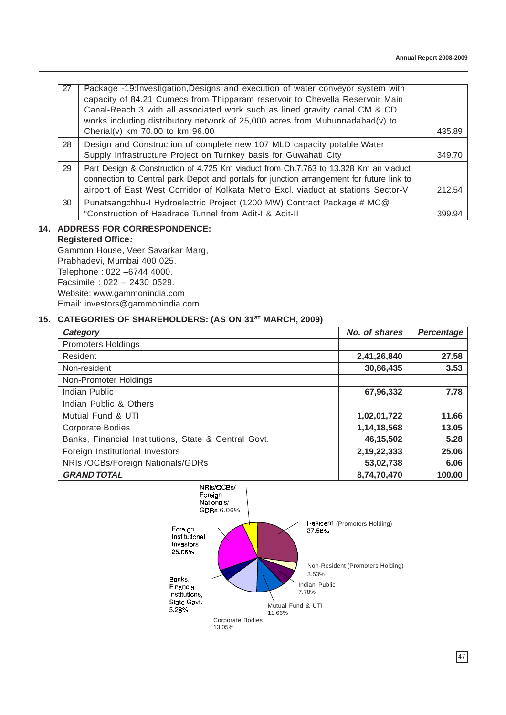| -27 | Package -19: Investigation, Designs and execution of water conveyor system with<br>capacity of 84.21 Cumecs from Thipparam reservoir to Chevella Reservoir Main<br>Canal-Reach 3 with all associated work such as lined gravity canal CM & CD<br>works including distributory network of 25,000 acres from Muhunnadabad(v) to<br>Cherial(v) km 70.00 to km 96.00 | 435.89 |
|-----|------------------------------------------------------------------------------------------------------------------------------------------------------------------------------------------------------------------------------------------------------------------------------------------------------------------------------------------------------------------|--------|
| 28  | Design and Construction of complete new 107 MLD capacity potable Water<br>Supply Infrastructure Project on Turnkey basis for Guwahati City                                                                                                                                                                                                                       | 349.70 |
| 29  | Part Design & Construction of 4.725 Km viaduct from Ch.7.763 to 13.328 Km an viaduct<br>connection to Central park Depot and portals for junction arrangement for future link to<br>airport of East West Corridor of Kolkata Metro Excl. viaduct at stations Sector-V                                                                                            | 212.54 |
| 30  | Punatsangchhu-I Hydroelectric Project (1200 MW) Contract Package # MC@<br>"Construction of Headrace Tunnel from Adit-I & Adit-II                                                                                                                                                                                                                                 | 399.94 |

# **14. ADDRESS FOR CORRESPONDENCE:**

# **Registered Office:**

Gammon House, Veer Savarkar Marg, Prabhadevi, Mumbai 400 025. Telephone : 022 –6744 4000. Facsimile : 022 – 2430 0529. Website: www.gammonindia.com Email: investors@gammonindia.com

# 15. CATEGORIES OF SHAREHOLDERS: (AS ON 31<sup>ST</sup> MARCH, 2009)

| Category                                             | No. of shares | <b>Percentage</b> |
|------------------------------------------------------|---------------|-------------------|
| <b>Promoters Holdings</b>                            |               |                   |
| Resident                                             | 2,41,26,840   | 27.58             |
| Non-resident                                         | 30,86,435     | 3.53              |
| Non-Promoter Holdings                                |               |                   |
| Indian Public                                        | 67,96,332     | 7.78              |
| Indian Public & Others                               |               |                   |
| Mutual Fund & UTI                                    | 1,02,01,722   | 11.66             |
| <b>Corporate Bodies</b>                              | 1,14,18,568   | 13.05             |
| Banks, Financial Institutions, State & Central Govt. | 46,15,502     | 5.28              |
| Foreign Institutional Investors                      | 2,19,22,333   | 25.06             |
| NRIs /OCBs/Foreign Nationals/GDRs                    | 53,02,738     | 6.06              |
| <b>GRAND TOTAL</b>                                   | 8,74,70,470   | 100.00            |

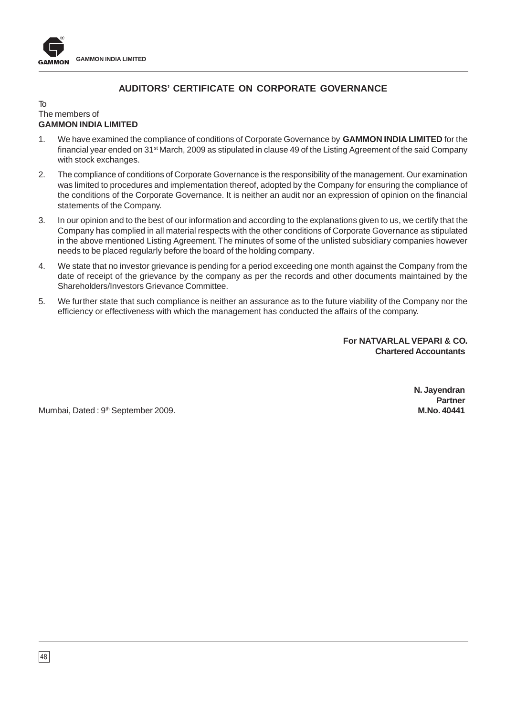

# **AUDITORS' CERTIFICATE ON CORPORATE GOVERNANCE**

### To The members of **GAMMON INDIA LIMITED**

- 1. We have examined the compliance of conditions of Corporate Governance by **GAMMON INDIA LIMITED** for the financial year ended on 31<sup>st</sup> March, 2009 as stipulated in clause 49 of the Listing Agreement of the said Company with stock exchanges.
- 2. The compliance of conditions of Corporate Governance is the responsibility of the management. Our examination was limited to procedures and implementation thereof, adopted by the Company for ensuring the compliance of the conditions of the Corporate Governance. It is neither an audit nor an expression of opinion on the financial statements of the Company.
- 3. In our opinion and to the best of our information and according to the explanations given to us, we certify that the Company has complied in all material respects with the other conditions of Corporate Governance as stipulated in the above mentioned Listing Agreement. The minutes of some of the unlisted subsidiary companies however needs to be placed regularly before the board of the holding company.
- 4. We state that no investor grievance is pending for a period exceeding one month against the Company from the date of receipt of the grievance by the company as per the records and other documents maintained by the Shareholders/Investors Grievance Committee.
- 5. We further state that such compliance is neither an assurance as to the future viability of the Company nor the efficiency or effectiveness with which the management has conducted the affairs of the company.

**For NATVARLAL VEPARI & CO. Chartered Accountants**

Mumbai, Dated : 9th September 2009. **M.No. 40441**

**N. Jayendran Partner**